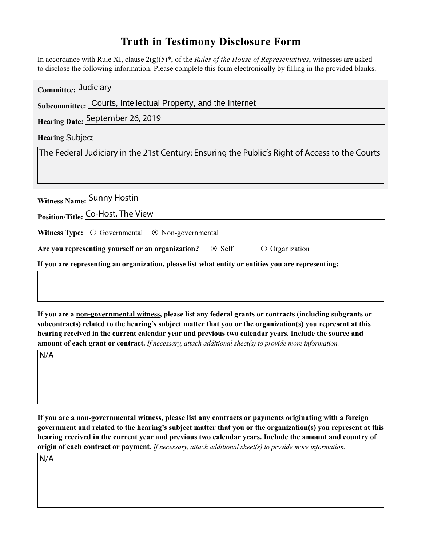## **Truth in Testimony Disclosure Form**

In accordance with Rule XI, clause 2(g)(5)\*, of the *Rules of the House of Representatives*, witnesses are asked to disclose the following information. Please complete this form electronically by filling in the provided blanks.

| Committee: Judiciary                                                                               |  |  |  |
|----------------------------------------------------------------------------------------------------|--|--|--|
| Subcommittee: Courts, Intellectual Property, and the Internet                                      |  |  |  |
| Hearing Date: September 26, 2019                                                                   |  |  |  |
| <b>Hearing Subject</b>                                                                             |  |  |  |
| The Federal Judiciary in the 21st Century: Ensuring the Public's Right of Access to the Courts     |  |  |  |
| Witness Name: Sunny Hostin                                                                         |  |  |  |
| Position/Title: Co-Host, The View                                                                  |  |  |  |
| <b>Witness Type:</b> $\bigcirc$ Governmental $\bigcirc$ Non-governmental                           |  |  |  |
| Are you representing yourself or an organization? $\circ$ Self<br>Organization                     |  |  |  |
| If you are representing an organization, please list what entity or entities you are representing: |  |  |  |

**If you are a non-governmental witness, please list any federal grants or contracts (including subgrants or subcontracts) related to the hearing's subject matter that you or the organization(s) you represent at this hearing received in the current calendar year and previous two calendar years. Include the source and amount of each grant or contract.** *If necessary, attach additional sheet(s) to provide more information.*

N/A

**If you are a non-governmental witness, please list any contracts or payments originating with a foreign government and related to the hearing's subject matter that you or the organization(s) you represent at this hearing received in the current year and previous two calendar years. Include the amount and country of origin of each contract or payment.** *If necessary, attach additional sheet(s) to provide more information.*

N/A